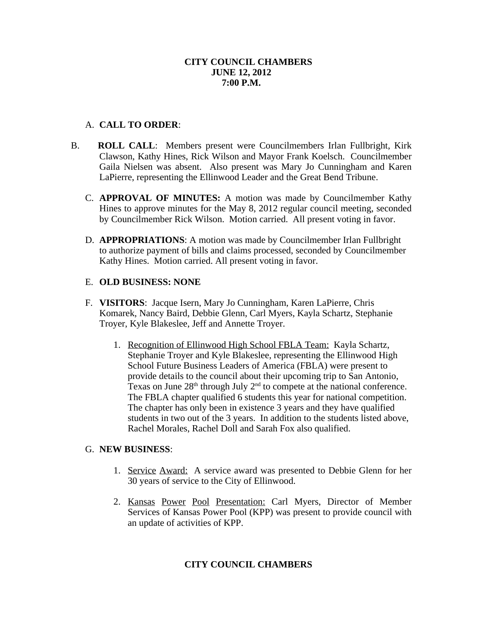## **CITY COUNCIL CHAMBERS JUNE 12, 2012 7:00 P.M.**

# A. **CALL TO ORDER**:

- B. **ROLL CALL**: Members present were Councilmembers Irlan Fullbright, Kirk Clawson, Kathy Hines, Rick Wilson and Mayor Frank Koelsch. Councilmember Gaila Nielsen was absent. Also present was Mary Jo Cunningham and Karen LaPierre, representing the Ellinwood Leader and the Great Bend Tribune.
	- C. **APPROVAL OF MINUTES:** A motion was made by Councilmember Kathy Hines to approve minutes for the May 8, 2012 regular council meeting, seconded by Councilmember Rick Wilson. Motion carried. All present voting in favor.
	- D. **APPROPRIATIONS**: A motion was made by Councilmember Irlan Fullbright to authorize payment of bills and claims processed, seconded by Councilmember Kathy Hines. Motion carried. All present voting in favor.

# E. **OLD BUSINESS: NONE**

- F. **VISITORS**: Jacque Isern, Mary Jo Cunningham, Karen LaPierre, Chris Komarek, Nancy Baird, Debbie Glenn, Carl Myers, Kayla Schartz, Stephanie Troyer, Kyle Blakeslee, Jeff and Annette Troyer.
	- 1. Recognition of Ellinwood High School FBLA Team: Kayla Schartz, Stephanie Troyer and Kyle Blakeslee, representing the Ellinwood High School Future Business Leaders of America (FBLA) were present to provide details to the council about their upcoming trip to San Antonio, Texas on June  $28<sup>th</sup>$  through July  $2<sup>nd</sup>$  to compete at the national conference. The FBLA chapter qualified 6 students this year for national competition. The chapter has only been in existence 3 years and they have qualified students in two out of the 3 years. In addition to the students listed above, Rachel Morales, Rachel Doll and Sarah Fox also qualified.

## G. **NEW BUSINESS**:

- 1. Service Award: A service award was presented to Debbie Glenn for her 30 years of service to the City of Ellinwood.
- 2. Kansas Power Pool Presentation: Carl Myers, Director of Member Services of Kansas Power Pool (KPP) was present to provide council with an update of activities of KPP.

# **CITY COUNCIL CHAMBERS**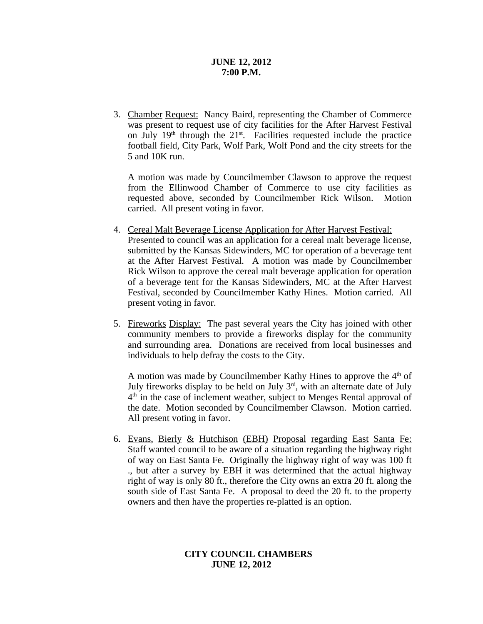### **JUNE 12, 2012 7:00 P.M.**

3. Chamber Request: Nancy Baird, representing the Chamber of Commerce was present to request use of city facilities for the After Harvest Festival on July  $19<sup>th</sup>$  through the  $21<sup>st</sup>$ . Facilities requested include the practice football field, City Park, Wolf Park, Wolf Pond and the city streets for the 5 and 10K run.

A motion was made by Councilmember Clawson to approve the request from the Ellinwood Chamber of Commerce to use city facilities as requested above, seconded by Councilmember Rick Wilson. Motion carried. All present voting in favor.

- 4. Cereal Malt Beverage License Application for After Harvest Festival: Presented to council was an application for a cereal malt beverage license, submitted by the Kansas Sidewinders, MC for operation of a beverage tent at the After Harvest Festival. A motion was made by Councilmember Rick Wilson to approve the cereal malt beverage application for operation of a beverage tent for the Kansas Sidewinders, MC at the After Harvest Festival, seconded by Councilmember Kathy Hines. Motion carried. All present voting in favor.
- 5. Fireworks Display: The past several years the City has joined with other community members to provide a fireworks display for the community and surrounding area. Donations are received from local businesses and individuals to help defray the costs to the City.

A motion was made by Councilmember Kathy Hines to approve the  $4<sup>th</sup>$  of July fireworks display to be held on July  $3<sup>rd</sup>$ , with an alternate date of July 4<sup>th</sup> in the case of inclement weather, subject to Menges Rental approval of the date. Motion seconded by Councilmember Clawson. Motion carried. All present voting in favor.

6. Evans, Bierly & Hutchison (EBH) Proposal regarding East Santa Fe: Staff wanted council to be aware of a situation regarding the highway right of way on East Santa Fe. Originally the highway right of way was 100 ft ., but after a survey by EBH it was determined that the actual highway right of way is only 80 ft., therefore the City owns an extra 20 ft. along the south side of East Santa Fe. A proposal to deed the 20 ft. to the property owners and then have the properties re-platted is an option.

## **CITY COUNCIL CHAMBERS JUNE 12, 2012**